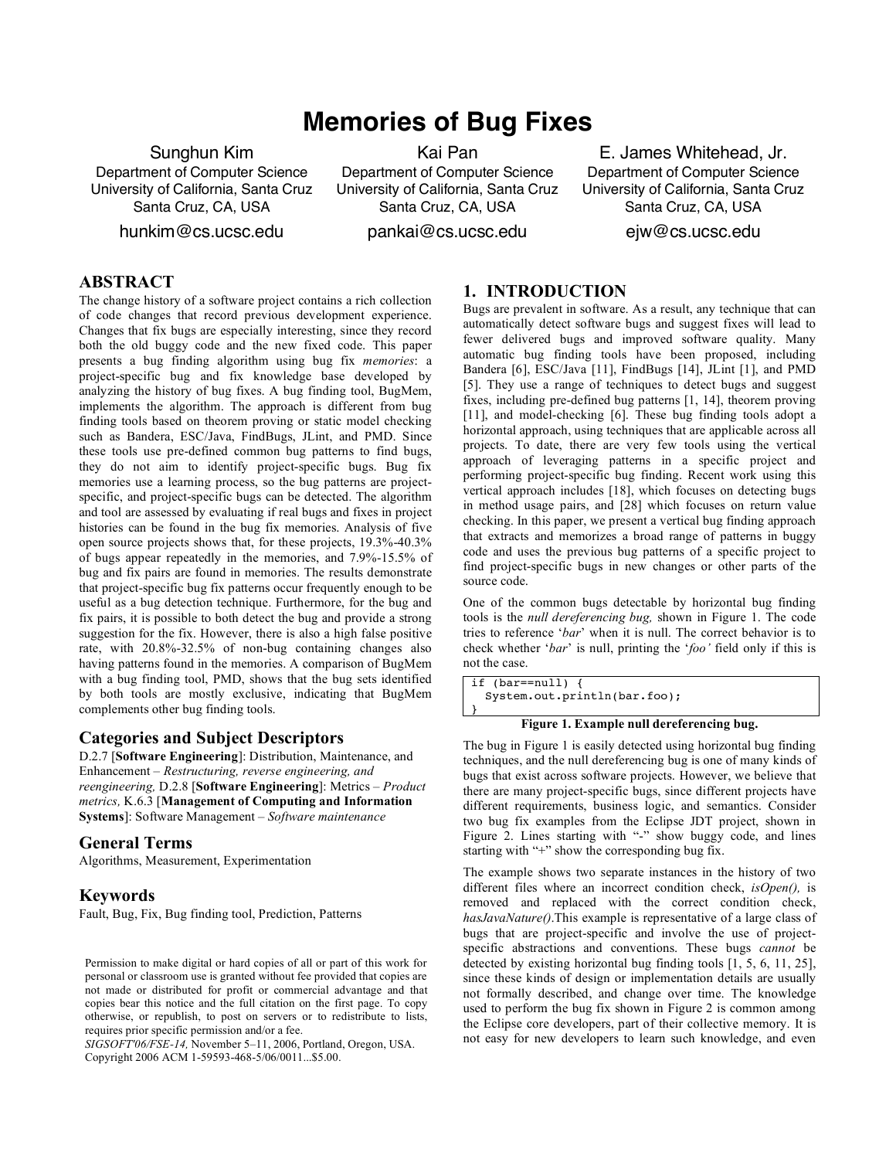# **Memories of Bug Fixes**

Sunghun Kim Department of Computer Science University of California, Santa Cruz Santa Cruz, CA, USA

hunkim@cs.ucsc.edu

Kai Pan Department of Computer Science University of California, Santa Cruz Santa Cruz, CA, USA

E. James Whitehead, Jr. Department of Computer Science University of California, Santa Cruz Santa Cruz, CA, USA

ejw@cs.ucsc.edu

pankai@cs.ucsc.edu

# **ABSTRACT**

The change history of a software project contains a rich collection of code changes that record previous development experience. Changes that fix bugs are especially interesting, since they record both the old buggy code and the new fixed code. This paper presents a bug finding algorithm using bug fix *memories*: a project-specific bug and fix knowledge base developed by analyzing the history of bug fixes. A bug finding tool, BugMem, implements the algorithm. The approach is different from bug finding tools based on theorem proving or static model checking such as Bandera, ESC/Java, FindBugs, JLint, and PMD. Since these tools use pre-defined common bug patterns to find bugs, they do not aim to identify project-specific bugs. Bug fix memories use a learning process, so the bug patterns are projectspecific, and project-specific bugs can be detected. The algorithm and tool are assessed by evaluating if real bugs and fixes in project histories can be found in the bug fix memories. Analysis of five open source projects shows that, for these projects, 19.3%-40.3% of bugs appear repeatedly in the memories, and 7.9%-15.5% of bug and fix pairs are found in memories. The results demonstrate that project-specific bug fix patterns occur frequently enough to be useful as a bug detection technique. Furthermore, for the bug and fix pairs, it is possible to both detect the bug and provide a strong suggestion for the fix. However, there is also a high false positive rate, with 20.8%-32.5% of non-bug containing changes also having patterns found in the memories. A comparison of BugMem with a bug finding tool, PMD, shows that the bug sets identified by both tools are mostly exclusive, indicating that BugMem complements other bug finding tools.

## **Categories and Subject Descriptors**

D.2.7 [**Software Engineering**]: Distribution, Maintenance, and Enhancement – *Restructuring, reverse engineering, and reengineering,* D.2.8 [**Software Engineering**]: Metrics – *Product metrics,* K.6.3 [**Management of Computing and Information Systems**]: Software Management – *Software maintenance*

## **General Terms**

Algorithms, Measurement, Experimentation

#### **Keywords**

Fault, Bug, Fix, Bug finding tool, Prediction, Patterns

*SIGSOFT'06/FSE-14,* November 5–11, 2006, Portland, Oregon, USA. Copyright 2006 ACM 1-59593-468-5/06/0011...\$5.00.

# **1. INTRODUCTION**

Bugs are prevalent in software. As a result, any technique that can automatically detect software bugs and suggest fixes will lead to fewer delivered bugs and improved software quality. Many automatic bug finding tools have been proposed, including Bandera [6], ESC/Java [11], FindBugs [14], JLint [1], and PMD [5]. They use a range of techniques to detect bugs and suggest fixes, including pre-defined bug patterns [1, 14], theorem proving [11], and model-checking [6]. These bug finding tools adopt a horizontal approach, using techniques that are applicable across all projects. To date, there are very few tools using the vertical approach of leveraging patterns in a specific project and performing project-specific bug finding. Recent work using this vertical approach includes [18], which focuses on detecting bugs in method usage pairs, and [28] which focuses on return value checking. In this paper, we present a vertical bug finding approach that extracts and memorizes a broad range of patterns in buggy code and uses the previous bug patterns of a specific project to find project-specific bugs in new changes or other parts of the source code.

One of the common bugs detectable by horizontal bug finding tools is the *null dereferencing bug,* shown in Figure 1. The code tries to reference '*bar*' when it is null. The correct behavior is to check whether '*bar*' is null, printing the '*foo'* field only if this is not the case.

if (bar==null) { System.out.println(bar.foo); }

# **Figure 1. Example null dereferencing bug.**

The bug in Figure 1 is easily detected using horizontal bug finding techniques, and the null dereferencing bug is one of many kinds of bugs that exist across software projects. However, we believe that there are many project-specific bugs, since different projects have different requirements, business logic, and semantics. Consider two bug fix examples from the Eclipse JDT project, shown in Figure 2. Lines starting with "-" show buggy code, and lines starting with "+" show the corresponding bug fix.

The example shows two separate instances in the history of two different files where an incorrect condition check, *isOpen(),* is removed and replaced with the correct condition check, *hasJavaNature()*.This example is representative of a large class of bugs that are project-specific and involve the use of projectspecific abstractions and conventions. These bugs *cannot* be detected by existing horizontal bug finding tools [1, 5, 6, 11, 25], since these kinds of design or implementation details are usually not formally described, and change over time. The knowledge used to perform the bug fix shown in Figure 2 is common among the Eclipse core developers, part of their collective memory. It is not easy for new developers to learn such knowledge, and even

Permission to make digital or hard copies of all or part of this work for personal or classroom use is granted without fee provided that copies are not made or distributed for profit or commercial advantage and that copies bear this notice and the full citation on the first page. To copy otherwise, or republish, to post on servers or to redistribute to lists, requires prior specific permission and/or a fee.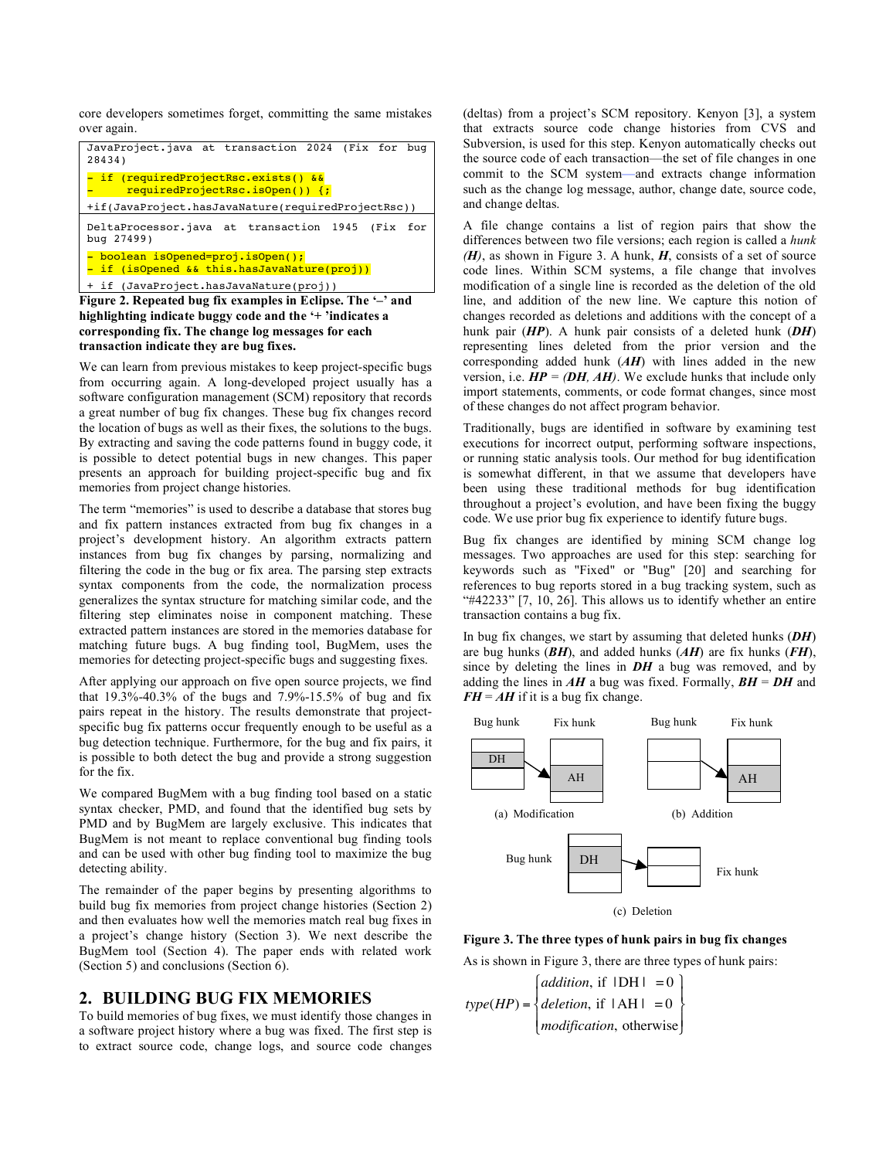core developers sometimes forget, committing the same mistakes over again.

| JavaProject.java at transaction 2024 (Fix for bug<br>28434)                                     |
|-------------------------------------------------------------------------------------------------|
| - if (requiredProjectRsc.exists() &&<br>requiredProjectRsc.isOpen()) {;                         |
| +if(JavaProject.hasJavaNature(requiredProjectRsc))                                              |
| DeltaProcessor.java at transaction 1945 (Fix for<br>bug 27499)                                  |
| - boolean isOpened=proj.isOpen();<br><u>- if (isOpened &amp;&amp; this.hasJavaNature(proj))</u> |
| + if (JavaProject.hasJavaNature(proj))                                                          |

**Figure 2. Repeated bug fix examples in Eclipse. The '–' and highlighting indicate buggy code and the '+ 'indicates a corresponding fix. The change log messages for each transaction indicate they are bug fixes.**

We can learn from previous mistakes to keep project-specific bugs from occurring again. A long-developed project usually has a software configuration management (SCM) repository that records a great number of bug fix changes. These bug fix changes record the location of bugs as well as their fixes, the solutions to the bugs. By extracting and saving the code patterns found in buggy code, it is possible to detect potential bugs in new changes. This paper presents an approach for building project-specific bug and fix memories from project change histories.

The term "memories" is used to describe a database that stores bug and fix pattern instances extracted from bug fix changes in a project's development history. An algorithm extracts pattern instances from bug fix changes by parsing, normalizing and filtering the code in the bug or fix area. The parsing step extracts syntax components from the code, the normalization process generalizes the syntax structure for matching similar code, and the filtering step eliminates noise in component matching. These extracted pattern instances are stored in the memories database for matching future bugs. A bug finding tool, BugMem, uses the memories for detecting project-specific bugs and suggesting fixes.

After applying our approach on five open source projects, we find that 19.3%-40.3% of the bugs and 7.9%-15.5% of bug and fix pairs repeat in the history. The results demonstrate that projectspecific bug fix patterns occur frequently enough to be useful as a bug detection technique. Furthermore, for the bug and fix pairs, it is possible to both detect the bug and provide a strong suggestion for the fix.

We compared BugMem with a bug finding tool based on a static syntax checker, PMD, and found that the identified bug sets by PMD and by BugMem are largely exclusive. This indicates that BugMem is not meant to replace conventional bug finding tools and can be used with other bug finding tool to maximize the bug detecting ability.

The remainder of the paper begins by presenting algorithms to build bug fix memories from project change histories (Section 2) and then evaluates how well the memories match real bug fixes in a project's change history (Section 3). We next describe the BugMem tool (Section 4). The paper ends with related work (Section 5) and conclusions (Section 6).

# **2. BUILDING BUG FIX MEMORIES**

To build memories of bug fixes, we must identify those changes in a software project history where a bug was fixed. The first step is to extract source code, change logs, and source code changes (deltas) from a project's SCM repository. Kenyon [3], a system that extracts source code change histories from CVS and Subversion, is used for this step. Kenyon automatically checks out the source code of each transaction—the set of file changes in one commit to the SCM system—and extracts change information such as the change log message, author, change date, source code, and change deltas.

A file change contains a list of region pairs that show the differences between two file versions; each region is called a *hunk*  $(H)$ , as shown in Figure 3. A hunk,  $H$ , consists of a set of source code lines. Within SCM systems, a file change that involves modification of a single line is recorded as the deletion of the old line, and addition of the new line. We capture this notion of changes recorded as deletions and additions with the concept of a hunk pair (*HP*). A hunk pair consists of a deleted hunk (*DH*) representing lines deleted from the prior version and the corresponding added hunk (*AH*) with lines added in the new version, i.e.  $HP = (DH, AH)$ . We exclude hunks that include only import statements, comments, or code format changes, since most of these changes do not affect program behavior.

Traditionally, bugs are identified in software by examining test executions for incorrect output, performing software inspections, or running static analysis tools. Our method for bug identification is somewhat different, in that we assume that developers have been using these traditional methods for bug identification throughout a project's evolution, and have been fixing the buggy code. We use prior bug fix experience to identify future bugs.

Bug fix changes are identified by mining SCM change log messages. Two approaches are used for this step: searching for keywords such as "Fixed" or "Bug" [20] and searching for references to bug reports stored in a bug tracking system, such as "#42233" [7, 10, 26]. This allows us to identify whether an entire transaction contains a bug fix.

In bug fix changes, we start by assuming that deleted hunks (*DH*) are bug hunks (*BH*), and added hunks (*AH*) are fix hunks (*FH*), since by deleting the lines in *DH* a bug was removed, and by adding the lines in  $AH$  a bug was fixed. Formally,  $BH = DH$  and  $FH = AH$  if it is a bug fix change.



**Figure 3. The three types of hunk pairs in bug fix changes**

As is shown in Figure 3, there are three types of hunk pairs:

$$
type(HP) = \begin{cases} addition, \text{ if } |DH| = 0 \\ deletion, \text{ if } |AH| = 0 \\ modification, \text{ otherwise} \end{cases}
$$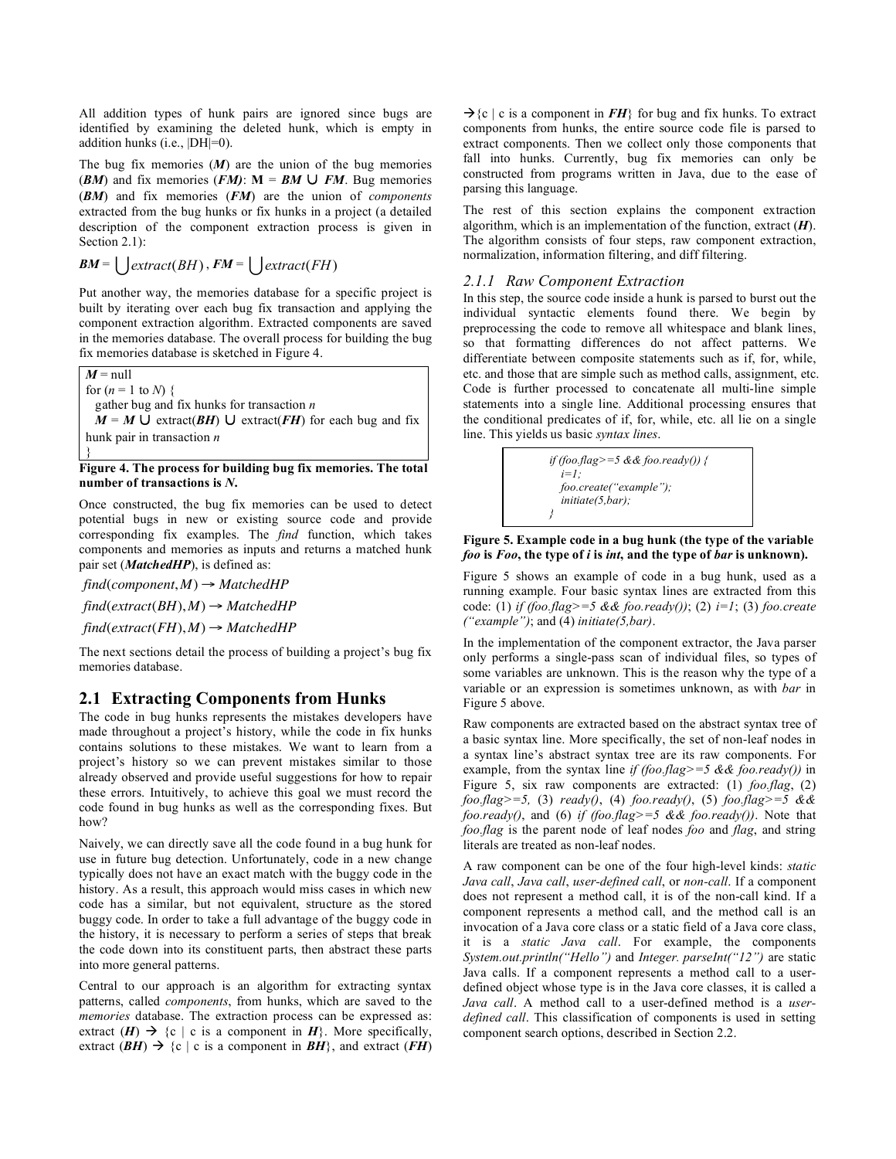All addition types of hunk pairs are ignored since bugs are identified by examining the deleted hunk, which is empty in addition hunks (i.e., |DH|=0).

The bug fix memories  $(M)$  are the union of the bug memories (*BM*) and fix memories (*FM*):  $M = BM \cup FM$ . Bug memories (*BM*) and fix memories (*FM*) are the union of *components* extracted from the bug hunks or fix hunks in a project (a detailed description of the component extraction process is given in Section 2.1):

$$
BM = \bigcup extract(BH), FM = \bigcup extract(FH)
$$

Put another way, the memories database for a specific project is built by iterating over each bug fix transaction and applying the component extraction algorithm. Extracted components are saved in the memories database. The overall process for building the bug fix memories database is sketched in Figure 4.

 $M = null$ for  $(n = 1$  to *N*)  $\{$ gather bug and fix hunks for transaction *n*  $M = M U$  extract(*BH*) ∪ extract(*FH*) for each bug and fix hunk pair in transaction *n* }

#### **Figure 4. The process for building bug fix memories. The total number of transactions is** *N***.**

Once constructed, the bug fix memories can be used to detect potential bugs in new or existing source code and provide corresponding fix examples. The *find* function, which takes components and memories as inputs and returns a matched hunk pair set (*MatchedHP*), is defined as:

 $find(component, M) \rightarrow MatchedHP$ 

 $find(extract(BH), M) \rightarrow MatchedHP$ 

 $find(extract(FH), M) \rightarrow MatchedHP$ 

The next sections detail the process of building a project's bug fix memories database.

# **2.1 Extracting Components from Hunks**

The code in bug hunks represents the mistakes developers have made throughout a project's history, while the code in fix hunks contains solutions to these mistakes. We want to learn from a project's history so we can prevent mistakes similar to those already observed and provide useful suggestions for how to repair these errors. Intuitively, to achieve this goal we must record the code found in bug hunks as well as the corresponding fixes. But how?

Naively, we can directly save all the code found in a bug hunk for use in future bug detection. Unfortunately, code in a new change typically does not have an exact match with the buggy code in the history. As a result, this approach would miss cases in which new code has a similar, but not equivalent, structure as the stored buggy code. In order to take a full advantage of the buggy code in the history, it is necessary to perform a series of steps that break the code down into its constituent parts, then abstract these parts into more general patterns.

Central to our approach is an algorithm for extracting syntax patterns, called *components*, from hunks, which are saved to the *memories* database. The extraction process can be expressed as: extract  $(H) \rightarrow \{c \mid c \text{ is a component in } H\}$ . More specifically, extract  $(BH) \rightarrow \{c \mid c \text{ is a component in } BH\}$ , and extract  $(FH)$ 

 $\rightarrow$  {c | c is a component in *FH*} for bug and fix hunks. To extract components from hunks, the entire source code file is parsed to extract components. Then we collect only those components that fall into hunks. Currently, bug fix memories can only be constructed from programs written in Java, due to the ease of parsing this language.

The rest of this section explains the component extraction algorithm, which is an implementation of the function, extract (*H*). The algorithm consists of four steps, raw component extraction, normalization, information filtering, and diff filtering.

# *2.1.1 Raw Component Extraction*

In this step, the source code inside a hunk is parsed to burst out the individual syntactic elements found there. We begin by preprocessing the code to remove all whitespace and blank lines, so that formatting differences do not affect patterns. We differentiate between composite statements such as if, for, while, etc. and those that are simple such as method calls, assignment, etc. Code is further processed to concatenate all multi-line simple statements into a single line. Additional processing ensures that the conditional predicates of if, for, while, etc. all lie on a single line. This yields us basic *syntax lines*.

```
if (foo.flag>=5 && foo.ready()) {
  i=1foo.create("example");
  initiate(5,bar);
}
```
#### **Figure 5. Example code in a bug hunk (the type of the variable** *foo* **is** *Foo***, the type of** *i* **is** *int***, and the type of** *bar* **is unknown).**

Figure 5 shows an example of code in a bug hunk, used as a running example. Four basic syntax lines are extracted from this code: (1) *if (foo.flag>=5 && foo.ready())*; (2) *i=1*; (3) *foo.create ("example")*; and (4) *initiate(5,bar)*.

In the implementation of the component extractor, the Java parser only performs a single-pass scan of individual files, so types of some variables are unknown. This is the reason why the type of a variable or an expression is sometimes unknown, as with *bar* in Figure 5 above.

Raw components are extracted based on the abstract syntax tree of a basic syntax line. More specifically, the set of non-leaf nodes in a syntax line's abstract syntax tree are its raw components. For example, from the syntax line *if (foo.flag>=5 && foo.ready())* in Figure 5, six raw components are extracted: (1) *foo.flag*, (2) *foo.flag>=5,* (3) *ready()*, (4) *foo.ready()*, (5) *foo.flag>=5 && foo.ready()*, and (6) *if (foo.flag>=5 && foo.ready())*. Note that *foo.flag* is the parent node of leaf nodes *foo* and *flag*, and string literals are treated as non-leaf nodes.

A raw component can be one of the four high-level kinds: *static Java call*, *Java call*, *user-defined call*, or *non-call*. If a component does not represent a method call, it is of the non-call kind. If a component represents a method call, and the method call is an invocation of a Java core class or a static field of a Java core class, it is a *static Java call*. For example, the components *System.out.println("Hello")* and *Integer. parseInt("12")* are static Java calls. If a component represents a method call to a userdefined object whose type is in the Java core classes, it is called a *Java call*. A method call to a user-defined method is a *userdefined call*. This classification of components is used in setting component search options, described in Section 2.2.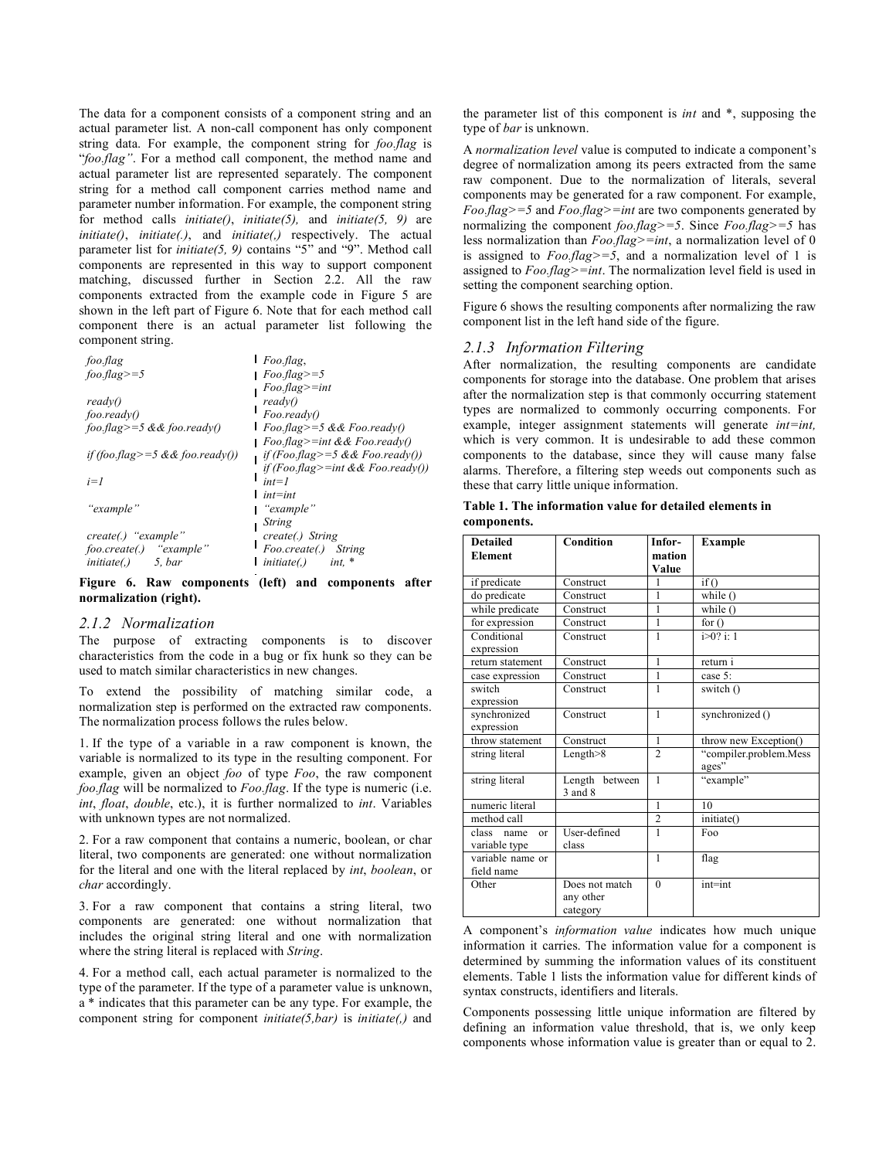The data for a component consists of a component string and an actual parameter list. A non-call component has only component string data. For example, the component string for *foo.flag* is "*foo.flag"*. For a method call component, the method name and actual parameter list are represented separately. The component string for a method call component carries method name and parameter number information. For example, the component string for method calls *initiate()*, *initiate(5),* and *initiate(5, 9)* are *initiate()*, *initiate(.)*, and *initiate(,)* respectively. The actual parameter list for *initiate(5, 9)* contains "5" and "9". Method call components are represented in this way to support component matching, discussed further in Section 2.2. All the raw components extracted from the example code in Figure 5 are shown in the left part of Figure 6. Note that for each method call component there is an actual parameter list following the component string.

| foo.flag                        | $Fooflag$ ,                                              |
|---------------------------------|----------------------------------------------------------|
| foo.flag>=5                     | $Fooflag = 5$                                            |
|                                 | $Fooflag>=int$                                           |
| ready()                         | readv()                                                  |
| foo.ready()                     | Foo.ready()                                              |
| foo.flag>=5 && foo.ready()      | Foo.flag>=5 && Foo.ready()                               |
|                                 | <i>Foo.flag&gt;=int &amp;&amp; Foo.ready()</i>           |
| if (foo.flag>=5 && foo.ready()) | $\textit{if (Foo flag} \geq 5 \&\&\textit{Foo.ready()})$ |
|                                 | if (Foo.flag>=int && Foo.ready())                        |
| $i=1$                           | $int=1$                                                  |
|                                 | $int = int$                                              |
| "example"                       | $\blacksquare$ "example"                                 |
|                                 | String                                                   |
| create(.) "example"             | create(.) String                                         |
| foo.create(.) "example"         | Foo.create(.) String                                     |
| $initiate()$ 5, bar             | initiate(,)<br>$int.$ *                                  |
|                                 |                                                          |

**Figure 6. Raw components (left) and components after normalization (right).**

#### *2.1.2 Normalization*

The purpose of extracting components is to discover characteristics from the code in a bug or fix hunk so they can be used to match similar characteristics in new changes.

To extend the possibility of matching similar code, a normalization step is performed on the extracted raw components. The normalization process follows the rules below.

1. If the type of a variable in a raw component is known, the variable is normalized to its type in the resulting component. For example, given an object *foo* of type *Foo*, the raw component *foo.flag* will be normalized to *Foo.flag*. If the type is numeric (i.e. *int*, *float*, *double*, etc.), it is further normalized to *int*. Variables with unknown types are not normalized.

2. For a raw component that contains a numeric, boolean, or char literal, two components are generated: one without normalization for the literal and one with the literal replaced by *int*, *boolean*, or *char* accordingly.

3. For a raw component that contains a string literal, two components are generated: one without normalization that includes the original string literal and one with normalization where the string literal is replaced with *String*.

4. For a method call, each actual parameter is normalized to the type of the parameter. If the type of a parameter value is unknown, a \* indicates that this parameter can be any type. For example, the component string for component *initiate(5,bar)* is *initiate(,)* and

the parameter list of this component is *int* and \*, supposing the type of *bar* is unknown.

A *normalization level* value is computed to indicate a component's degree of normalization among its peers extracted from the same raw component. Due to the normalization of literals, several components may be generated for a raw component. For example, *Foo.flag>=5* and *Foo.flag>=int* are two components generated by normalizing the component *foo.flag>=5*. Since *Foo.flag>=5* has less normalization than *Foo.flag>=int*, a normalization level of 0 is assigned to *Foo.flag>=5*, and a normalization level of 1 is assigned to *Foo.flag>=int*. The normalization level field is used in setting the component searching option.

Figure 6 shows the resulting components after normalizing the raw component list in the left hand side of the figure.

# *2.1.3 Information Filtering*

After normalization, the resulting components are candidate components for storage into the database. One problem that arises after the normalization step is that commonly occurring statement types are normalized to commonly occurring components. For example, integer assignment statements will generate *int=int,* which is very common. It is undesirable to add these common components to the database, since they will cause many false alarms. Therefore, a filtering step weeds out components such as these that carry little unique information.

#### **Table 1. The information value for detailed elements in components.**

| <b>Detailed</b>          | Condition                               | Infor-         | Example                         |
|--------------------------|-----------------------------------------|----------------|---------------------------------|
| Element                  |                                         | mation         |                                 |
|                          |                                         | Value          |                                 |
| if predicate             | Construct                               | 1              | if()                            |
| do predicate             | Construct                               | 1              | while $()$                      |
| while predicate          | Construct                               | 1              | while $\cap$                    |
| for expression           | Construct                               | 1              | for $()$                        |
| Conditional              | Construct                               | 1              | $i > 0$ ? i: 1                  |
| expression               |                                         |                |                                 |
| return statement         | Construct                               | 1              | return i                        |
| case expression          | Construct                               | 1              | case 5:                         |
| switch                   | Construct                               | 1              | switch $()$                     |
| expression               |                                         |                |                                 |
| synchronized             | Construct                               | 1              | synchronized ()                 |
| expression               |                                         |                |                                 |
| throw statement          | Construct                               | 1              | throw new Exception()           |
| string literal           | Length > 8                              | $\mathfrak{D}$ | "compiler.problem.Mess<br>ages" |
| string literal           | Length<br>between<br>$3$ and $8$        | 1              | "example"                       |
| numeric literal          |                                         | 1              | 10                              |
| method call              |                                         | $\overline{2}$ | initiate()                      |
| class name<br>$\alpha$ r | User-defined                            | 1              | Foo                             |
| variable type            | class                                   |                |                                 |
| variable name or         |                                         | 1              | flag                            |
| field name               |                                         |                |                                 |
| Other                    | Does not match<br>any other<br>category | $\theta$       | $int = int$                     |

A component's *information value* indicates how much unique information it carries. The information value for a component is determined by summing the information values of its constituent elements. Table 1 lists the information value for different kinds of syntax constructs, identifiers and literals.

Components possessing little unique information are filtered by defining an information value threshold, that is, we only keep components whose information value is greater than or equal to 2.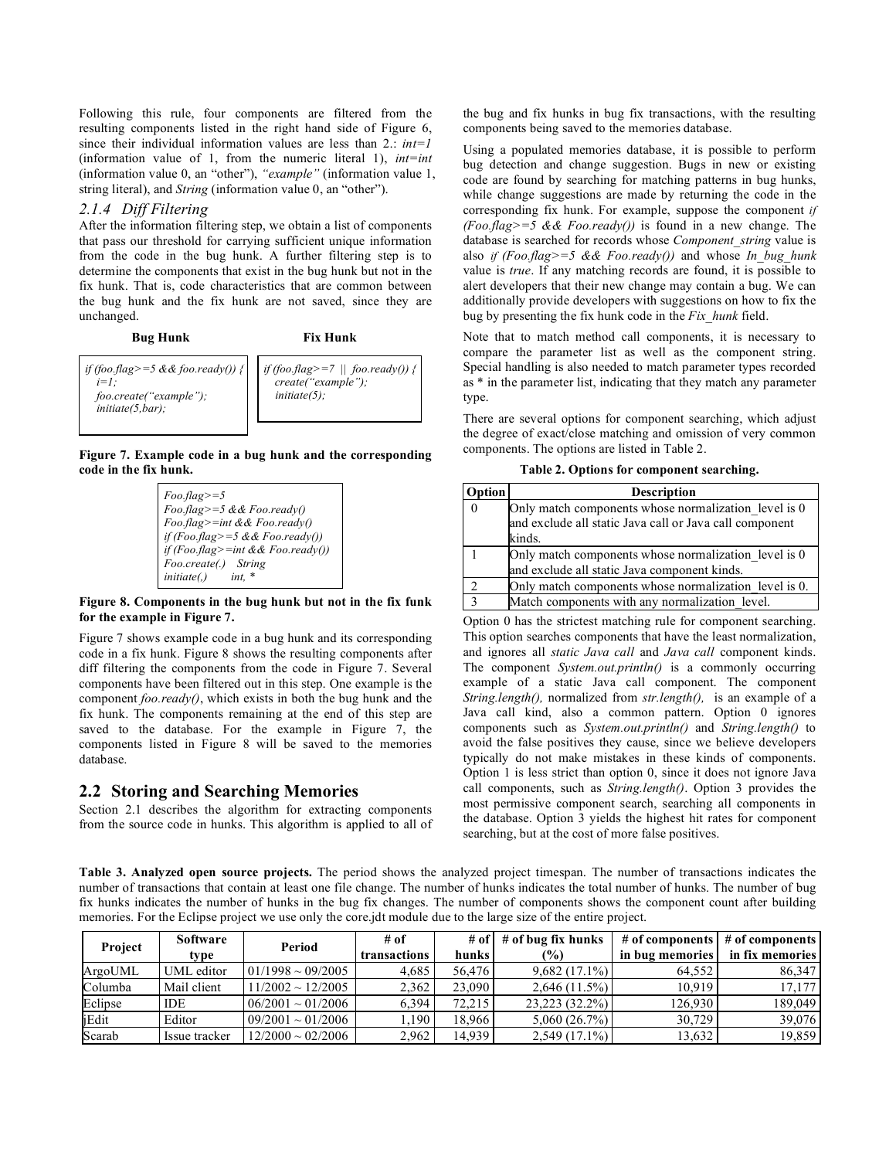Following this rule, four components are filtered from the resulting components listed in the right hand side of Figure 6, since their individual information values are less than 2.: *int=1* (information value of 1, from the numeric literal 1), *int=int* (information value 0, an "other"), *"example"* (information value 1, string literal), and *String* (information value 0, an "other").

#### *2.1.4 Diff Filtering*

After the information filtering step, we obtain a list of components that pass our threshold for carrying sufficient unique information from the code in the bug hunk. A further filtering step is to determine the components that exist in the bug hunk but not in the fix hunk. That is, code characteristics that are common between the bug hunk and the fix hunk are not saved, since they are unchanged.

**Bug Hunk Fix Hunk**



**Figure 7. Example code in a bug hunk and the corresponding code in the fix hunk.**

```
Foo.flag>=5
Foo.flag>=5 && Foo.ready()
Foo.flag>=int && Foo.ready()
if (Foo.flag>=5 && Foo.ready())
if (Foo.flag>=int && Foo.ready())
Foo.create(.) String
initiate(,) int, *
```
#### **Figure 8. Components in the bug hunk but not in the fix funk for the example in Figure 7.**

Figure 7 shows example code in a bug hunk and its corresponding code in a fix hunk. Figure 8 shows the resulting components after diff filtering the components from the code in Figure 7. Several components have been filtered out in this step. One example is the component *foo.ready()*, which exists in both the bug hunk and the fix hunk. The components remaining at the end of this step are saved to the database. For the example in Figure 7, the components listed in Figure 8 will be saved to the memories database.

# **2.2 Storing and Searching Memories**

Section 2.1 describes the algorithm for extracting components from the source code in hunks. This algorithm is applied to all of the bug and fix hunks in bug fix transactions, with the resulting components being saved to the memories database.

Using a populated memories database, it is possible to perform bug detection and change suggestion. Bugs in new or existing code are found by searching for matching patterns in bug hunks, while change suggestions are made by returning the code in the corresponding fix hunk. For example, suppose the component *if (Foo.flag>=5 && Foo.ready())* is found in a new change. The database is searched for records whose *Component\_string* value is also *if*  $(Foo,\text{flag}>=5 \&\&\text{Foo}.\text{ready}()$  and whose *In bug hunk* value is *true*. If any matching records are found, it is possible to alert developers that their new change may contain a bug. We can additionally provide developers with suggestions on how to fix the bug by presenting the fix hunk code in the *Fix\_hunk* field.

Note that to match method call components, it is necessary to compare the parameter list as well as the component string. Special handling is also needed to match parameter types recorded as \* in the parameter list, indicating that they match any parameter type.

There are several options for component searching, which adjust the degree of exact/close matching and omission of very common components. The options are listed in Table 2.

**Table 2. Options for component searching.**

| Option         | <b>Description</b>                                                                                                        |
|----------------|---------------------------------------------------------------------------------------------------------------------------|
| $\theta$       | Only match components whose normalization level is 0<br>and exclude all static Java call or Java call component<br>kinds. |
|                | Only match components whose normalization level is 0<br>and exclude all static Java component kinds.                      |
|                | Only match components whose normalization level is 0.                                                                     |
| $\overline{a}$ | Match components with any normalization level.                                                                            |

Option 0 has the strictest matching rule for component searching. This option searches components that have the least normalization, and ignores all *static Java call* and *Java call* component kinds. The component *System.out.println()* is a commonly occurring example of a static Java call component. The component *String.length(),* normalized from *str.length(),* is an example of a Java call kind, also a common pattern. Option 0 ignores components such as *System.out.println()* and *String.length()* to avoid the false positives they cause, since we believe developers typically do not make mistakes in these kinds of components. Option 1 is less strict than option 0, since it does not ignore Java call components, such as *String.length()*. Option 3 provides the most permissive component search, searching all components in the database. Option 3 yields the highest hit rates for component searching, but at the cost of more false positives.

**Table 3. Analyzed open source projects.** The period shows the analyzed project timespan. The number of transactions indicates the number of transactions that contain at least one file change. The number of hunks indicates the total number of hunks. The number of bug fix hunks indicates the number of hunks in the bug fix changes. The number of components shows the component count after building memories. For the Eclipse project we use only the core.jdt module due to the large size of the entire project.

| Project | Software      | Period                    | # of         |        | $\#$ of $\#$ of bug fix hunks |                                 | # of components $\vert$ # of components |
|---------|---------------|---------------------------|--------------|--------|-------------------------------|---------------------------------|-----------------------------------------|
|         | type          |                           | transactions | hunks  | $(\%)$                        | in bug memories in fix memories |                                         |
| ArgoUML | UML editor    | $01/1998 \sim 09/2005$    | 4,685        | 56.476 | $9,682(17.1\%)$               | 64.552                          | 86,347                                  |
| Columba | Mail client   | $11/2002 \sim 12/2005$    | 2,362        | 23.090 | 2,646(11.5%)                  | 10.919                          | 17.177                                  |
| Eclipse | IDE           | $06/2001 \sim 01/2006$    | 6,394        | 72.215 | $23,223$ $(32.2\%)$           | 126.930                         | 189,049                                 |
| jEdit   | Editor        | $09/2001 \approx 01/2006$ | ,190         | 18.966 | 5,060(26.7%)                  | 30,729                          | 39,076                                  |
| Scarab  | Issue tracker | $12/2000 \sim 02/2006$    | 2.962        | 14.939 | $2,549(17.1\%)$               | 13.632                          | 19.859                                  |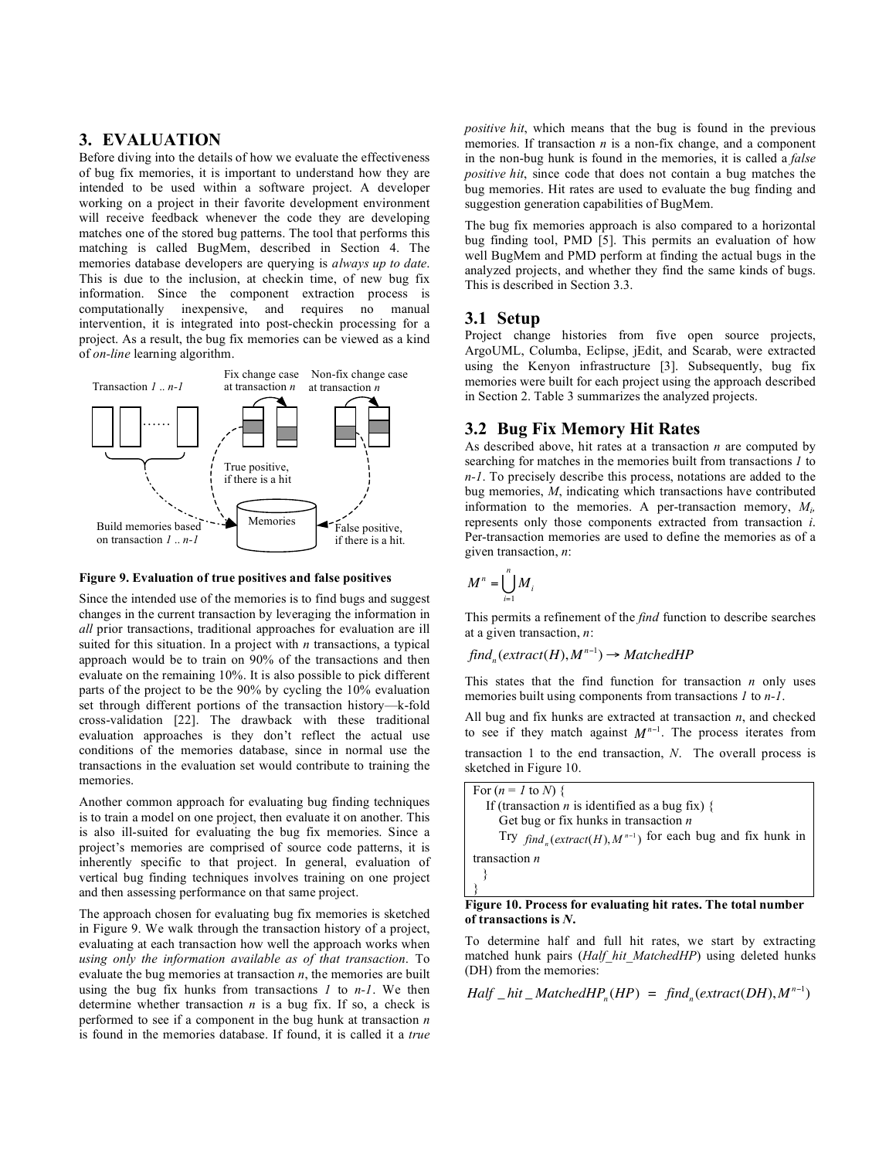# **3. EVALUATION**

Before diving into the details of how we evaluate the effectiveness of bug fix memories, it is important to understand how they are intended to be used within a software project. A developer working on a project in their favorite development environment will receive feedback whenever the code they are developing matches one of the stored bug patterns. The tool that performs this matching is called BugMem, described in Section 4. The memories database developers are querying is *always up to date*. This is due to the inclusion, at checkin time, of new bug fix information. Since the component extraction process is computationally inexpensive, and requires no manual intervention, it is integrated into post-checkin processing for a project. As a result, the bug fix memories can be viewed as a kind of *on-line* learning algorithm.



**Figure 9. Evaluation of true positives and false positives**

Since the intended use of the memories is to find bugs and suggest changes in the current transaction by leveraging the information in *all* prior transactions, traditional approaches for evaluation are ill suited for this situation. In a project with *n* transactions, a typical approach would be to train on 90% of the transactions and then evaluate on the remaining 10%. It is also possible to pick different parts of the project to be the 90% by cycling the 10% evaluation set through different portions of the transaction history—k-fold cross-validation [22]. The drawback with these traditional ! evaluation approaches is they don't reflect the actual use conditions of the memories database, since in normal use the transactions in the evaluation set would contribute to training the memories.

Another common approach for evaluating bug finding techniques is to train a model on one project, then evaluate it on another. This is also ill-suited for evaluating the bug fix memories. Since a project's memories are comprised of source code patterns, it is inherently specific to that project. In general, evaluation of vertical bug finding techniques involves training on one project and then assessing performance on that same project.

The approach chosen for evaluating bug fix memories is sketched in Figure 9. We walk through the transaction history of a project, evaluating at each transaction how well the approach works when *using only the information available as of that transaction*. To evaluate the bug memories at transaction *n*, the memories are built using the bug fix hunks from transactions *1* to *n-1*. We then determine whether transaction  $n$  is a bug fix. If so, a check is performed to see if a component in the bug hunk at transaction *n* is found in the memories database. If found, it is called it a *true* *positive hit*, which means that the bug is found in the previous memories. If transaction *n* is a non-fix change, and a component in the non-bug hunk is found in the memories, it is called a *false positive hit*, since code that does not contain a bug matches the bug memories. Hit rates are used to evaluate the bug finding and suggestion generation capabilities of BugMem.

The bug fix memories approach is also compared to a horizontal bug finding tool, PMD [5]. This permits an evaluation of how well BugMem and PMD perform at finding the actual bugs in the analyzed projects, and whether they find the same kinds of bugs. This is described in Section 3.3.

## **3.1 Setup**

Project change histories from five open source projects, ArgoUML, Columba, Eclipse, jEdit, and Scarab, were extracted using the Kenyon infrastructure [3]. Subsequently, bug fix memories were built for each project using the approach described in Section 2. Table 3 summarizes the analyzed projects.

## **3.2 Bug Fix Memory Hit Rates**

As described above, hit rates at a transaction *n* are computed by searching for matches in the memories built from transactions *1* to *n-1*. To precisely describe this process, notations are added to the bug memories, *M*, indicating which transactions have contributed information to the memories. A per-transaction memory, *Mi,* represents only those components extracted from transaction *i*. Per-transaction memories are used to define the memories as of a given transaction, *n*:

$$
M^n = \bigcup_{i=1}^n M_i
$$

This permits a refinement of the *find* function to describe searches at a given transaction, *n*:

# $\operatorname{find}_n(\operatorname{extract}(H),M^{n-1}) \to \operatorname{MatchedHP}$

This states that the find function for transaction *n* only uses memories built using components from transactions *1* to *n-1*.

All bug and fix hunks are extracted at transaction *n*, and checked to see if they match against  $M^{n-1}$ . The process iterates from

transaction 1 to the end transaction, *N*. The overall process is sketched in Figure 10.

If (transaction *n* is identified as a bug fix) { For  $(n = 1$  to *N*) { Get bug or fix hunks in transaction *n* Try  $\int f \, d\mu_n \left( \text{extract}(H), M^{n-1} \right)$  for each bug and fix hunk in transaction *n*

$$
\bigg\}^{\bigg\}}
$$

#### **Figure 10. Process for evaluating hit rates. The total number of transactions is** *N***.**

To determine half and full hit rates, we start by extracting matched hunk pairs (*Half\_hit\_MatchedHP*) using deleted hunks (DH) from the memories:

 $H$ alf<sub> $-$ </sub> hit<sub> $-$ </sub> MatchedHP<sub>n</sub>(*HP*) = *find<sub>n</sub>*(*extract*(*DH*), $M^{n-1}$ )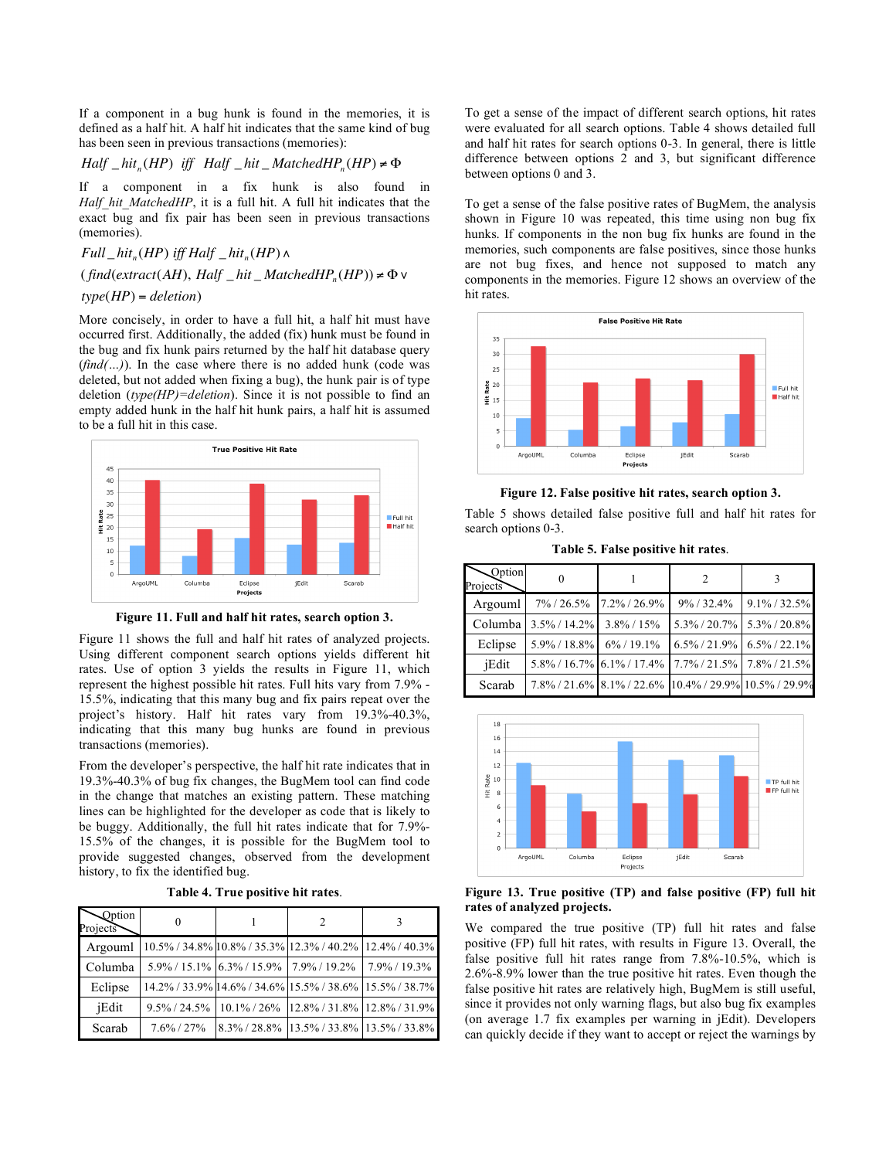If a component in a bug hunk is found in the memories, it is defined as a half hit. A half hit indicates that the same kind of bug has been seen in previous transactions (memories):

# $Half\_hit_n(HP)$  *iff*  $Half\_hit\_MatchedHP_n(HP) \neq \Phi$

If a component in a fix hunk is also found in Half\_hit\_MatchedHP, it is a full hit. A full hit indicates that the exact bug and fix pair has been seen in previous transactions (memories).

 $Full\_hit_n(HP)$  iff  $Half\_hit_n(HP)$   $\wedge$  $(find(extract(AH),\, Half\_hit\_MatchedHP_n(HP)) \neq \Phi \vee$ *type*(*HP*) = *deletion*)

More concisely, in order to have a full hit, a half hit must have occurred first. Additionally, the added (fix) hunk must be found in the bug and fix hunk pairs returned by the half hit database query (*find(…)*). In the case where there is no added hunk (code was deleted, but not added when fixing a bug), the hunk pair is of type deletion (*type(HP)=deletion*). Since it is not possible to find an empty added hunk in the half hit hunk pairs, a half hit is assumed to be a full hit in this case.



**Figure 11. Full and half hit rates, search option 3.**

Figure 11 shows the full and half hit rates of analyzed projects. Using different component search options yields different hit rates. Use of option 3 yields the results in Figure 11, which represent the highest possible hit rates. Full hits vary from 7.9% - 15.5%, indicating that this many bug and fix pairs repeat over the project's history. Half hit rates vary from 19.3%-40.3%, indicating that this many bug hunks are found in previous transactions (memories).

From the developer's perspective, the half hit rate indicates that in 19.3%-40.3% of bug fix changes, the BugMem tool can find code in the change that matches an existing pattern. These matching lines can be highlighted for the developer as code that is likely to be buggy. Additionally, the full hit rates indicate that for 7.9%- 15.5% of the changes, it is possible for the BugMem tool to provide suggested changes, observed from the development history, to fix the identified bug.

**Table 4. True positive hit rates**.

| <b>Species</b><br>Projects |                |                                                     |                                                                     |
|----------------------------|----------------|-----------------------------------------------------|---------------------------------------------------------------------|
| Argouml                    |                |                                                     | $10.5\%$ / 34.8% $10.8\%$ / 35.3% $12.3\%$ / 40.2% $12.4\%$ / 40.3% |
| Columba                    |                | 5.9% / 15.1% 6.3% / 15.9% 7.9% / 19.2% 7.9% / 19.3% |                                                                     |
| Eclipse                    |                |                                                     | 14.2% / 33.9% 14.6% / 34.6% 15.5% / 38.6% 15.5% / 38.7%             |
| iEdit                      |                |                                                     | 9.5% / 24.5%   10.1% / 26%   12.8% / 31.8%   12.8% / 31.9%          |
| Scarab                     | $7.6\% / 27\%$ |                                                     | 8.3% / 28.8%   13.5% / 33.8%   13.5% / 33.8%                        |

To get a sense of the impact of different search options, hit rates were evaluated for all search options. Table 4 shows detailed full and half hit rates for search options 0-3. In general, there is little difference between options 2 and 3, but significant difference between options 0 and 3.

To get a sense of the false positive rates of BugMem, the analysis shown in Figure 10 was repeated, this time using non bug fix hunks. If components in the non bug fix hunks are found in the memories, such components are false positives, since those hunks are not bug fixes, and hence not supposed to match any components in the memories. Figure 12 shows an overview of the hit rates.



**Figure 12. False positive hit rates, search option 3.**

Table 5 shows detailed false positive full and half hit rates for search options 0-3.

**Table 5. False positive hit rates**.

| Option<br><b>Projects</b> |                 |                    | $\mathcal{D}$  |                                                       |
|---------------------------|-----------------|--------------------|----------------|-------------------------------------------------------|
| Argouml                   | $7\% / 26.5\%$  | $7.2\%$ / $26.9\%$ | $9\% / 32.4\%$ | $9.1\% / 32.5\%$                                      |
| Columba                   | $3.5\%$ / 14.2% | 3.8% / 15%         |                | $5.3\% / 20.7\%$ 5.3% / 20.8%                         |
| Eclipse                   | $5.9\%$ / 18.8% | $6\%$ / 19.1%      |                | $6.5\%$ / 21.9% 6.5% / 22.1%                          |
| iEdit                     |                 |                    |                | 5.8% / 16.7% 6.1% / 17.4% 7.7% / 21.5% 7.8% / 21.5%   |
| Scarab                    |                 |                    |                | 7.8% / 21.6% 8.1% / 22.6% 10.4% / 29.9% 10.5% / 29.9% |



**Figure 13. True positive (TP) and false positive (FP) full hit rates of analyzed projects.**

We compared the true positive (TP) full hit rates and false positive (FP) full hit rates, with results in Figure 13. Overall, the false positive full hit rates range from 7.8%-10.5%, which is 2.6%-8.9% lower than the true positive hit rates. Even though the false positive hit rates are relatively high, BugMem is still useful, since it provides not only warning flags, but also bug fix examples (on average 1.7 fix examples per warning in jEdit). Developers can quickly decide if they want to accept or reject the warnings by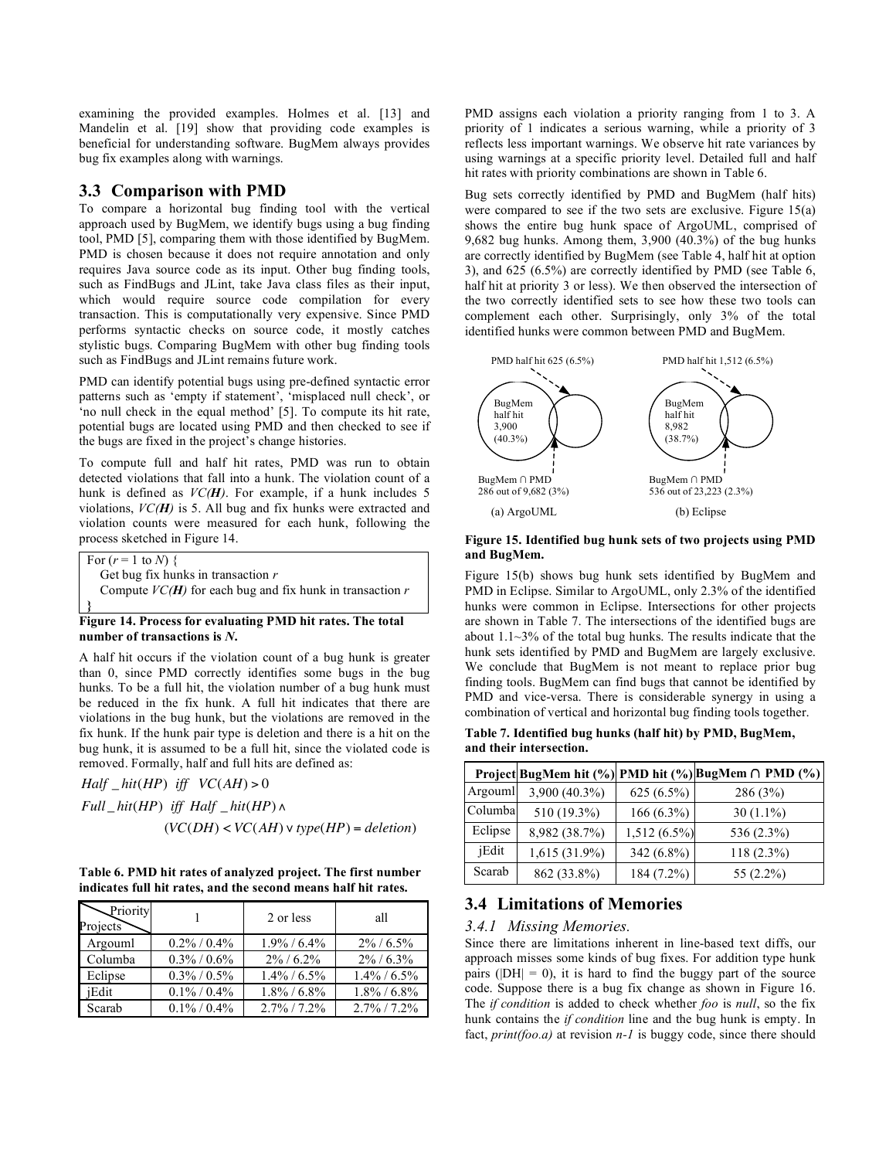examining the provided examples. Holmes et al. [13] and Mandelin et al. [19] show that providing code examples is beneficial for understanding software. BugMem always provides bug fix examples along with warnings.

## **3.3 Comparison with PMD**

To compare a horizontal bug finding tool with the vertical approach used by BugMem, we identify bugs using a bug finding tool, PMD [5], comparing them with those identified by BugMem. PMD is chosen because it does not require annotation and only requires Java source code as its input. Other bug finding tools, such as FindBugs and JLint, take Java class files as their input, which would require source code compilation for every transaction. This is computationally very expensive. Since PMD performs syntactic checks on source code, it mostly catches stylistic bugs. Comparing BugMem with other bug finding tools such as FindBugs and JLint remains future work.

PMD can identify potential bugs using pre-defined syntactic error patterns such as 'empty if statement', 'misplaced null check', or 'no null check in the equal method' [5]. To compute its hit rate, potential bugs are located using PMD and then checked to see if the bugs are fixed in the project's change histories.

To compute full and half hit rates, PMD was run to obtain detected violations that fall into a hunk. The violation count of a hunk is defined as *VC(H)*. For example, if a hunk includes 5 violations, *VC(H)* is 5. All bug and fix hunks were extracted and violation counts were measured for each hunk, following the process sketched in Figure 14.

| For $(r = 1$ to N $\{$                                      |  |
|-------------------------------------------------------------|--|
| Get bug fix hunks in transaction $r$                        |  |
| Compute $VC/H$ ) for each bug and fix hunk in transaction r |  |
|                                                             |  |

#### **Figure 14. Process for evaluating PMD hit rates. The total number of transactions is** *N***.**

A half hit occurs if the violation count of a bug hunk is greater than 0, since PMD correctly identifies some bugs in the bug hunks. To be a full hit, the violation number of a bug hunk must be reduced in the fix hunk. A full hit indicates that there are violations in the bug hunk, but the violations are removed in the fix hunk. If the hunk pair type is deletion and there is a hit on the bug hunk, it is assumed to be a full hit, since the violated code is removed. Formally, half and full hits are defined as:

*Half* \_ *hit*(*HP*) *iff VC*(*AH*) > 0

*Full* \_ *hit*(*HP*) *iff Half* \_ *hit*(*HP*)" (*VC*(*DH*) < *VC*(*AH*)#*type*(*HP*) = *deletion*)

**Table 6. PMD hit rates of analyzed project. The first number indicates full hit rates, and the second means half hit rates.**

| Priority<br>Projects |                 | 2 or less         | all               |
|----------------------|-----------------|-------------------|-------------------|
| Argouml              | $0.2\% / 0.4\%$ | $1.9\%$ / 6.4%    | $2\% / 6.5\%$     |
| Columba              | $0.3\% / 0.6\%$ | $2\% / 6.2\%$     | $2\% / 6.3\%$     |
| Eclipse              | $0.3\% / 0.5\%$ | $1.4\%$ / 6.5%    | $1.4\% / 6.5\%$   |
| iEdit                | $0.1\% / 0.4\%$ | $1.8\%$ / 6.8%    | $1.8\%$ / 6.8%    |
| Scarab               | $0.1\% / 0.4\%$ | $2.7\%$ / $7.2\%$ | $2.7\%$ / $7.2\%$ |

PMD assigns each violation a priority ranging from 1 to 3. A priority of 1 indicates a serious warning, while a priority of 3 reflects less important warnings. We observe hit rate variances by using warnings at a specific priority level. Detailed full and half hit rates with priority combinations are shown in Table 6.

Bug sets correctly identified by PMD and BugMem (half hits) were compared to see if the two sets are exclusive. Figure 15(a) shows the entire bug hunk space of ArgoUML, comprised of 9,682 bug hunks. Among them, 3,900 (40.3%) of the bug hunks are correctly identified by BugMem (see Table 4, half hit at option 3), and 625 (6.5%) are correctly identified by PMD (see Table 6, half hit at priority 3 or less). We then observed the intersection of the two correctly identified sets to see how these two tools can complement each other. Surprisingly, only 3% of the total identified hunks were common between PMD and BugMem.



#### **Figure 15. Identified bug hunk sets of two projects using PMD and BugMem.**

Figure 15(b) shows bug hunk sets identified by BugMem and PMD in Eclipse. Similar to ArgoUML, only 2.3% of the identified hunks were common in Eclipse. Intersections for other projects are shown in Table 7. The intersections of the identified bugs are about 1.1~3% of the total bug hunks. The results indicate that the hunk sets identified by PMD and BugMem are largely exclusive. We conclude that BugMem is not meant to replace prior bug finding tools. BugMem can find bugs that cannot be identified by PMD and vice-versa. There is considerable synergy in using a combination of vertical and horizontal bug finding tools together.

**Table 7. Identified bug hunks (half hit) by PMD, BugMem, and their intersection.**

|         |               |              | Project BugMem hit (%) PMD hit (%) BugMem ∩ PMD (%) |
|---------|---------------|--------------|-----------------------------------------------------|
| Argouml | 3,900 (40.3%) | $625(6.5\%)$ | 286(3%)                                             |
| Columba | 510 (19.3%)   | $166(6.3\%)$ | $30(1.1\%)$                                         |
| Eclipse | 8,982 (38.7%) | 1,512 (6.5%) | 536 (2.3%)                                          |
| iEdit   | 1,615 (31.9%) | $342(6.8\%)$ | $118(2.3\%)$                                        |
| Scarab  | 862 (33.8%)   | 184 (7.2%)   | 55 (2.2%)                                           |

# **3.4 Limitations of Memories**

### *3.4.1 Missing Memories.*

Since there are limitations inherent in line-based text diffs, our approach misses some kinds of bug fixes. For addition type hunk pairs ( $|DH| = 0$ ), it is hard to find the buggy part of the source code. Suppose there is a bug fix change as shown in Figure 16. The *if condition* is added to check whether *foo* is *null*, so the fix hunk contains the *if condition* line and the bug hunk is empty. In fact, *print(foo.a)* at revision *n-1* is buggy code, since there should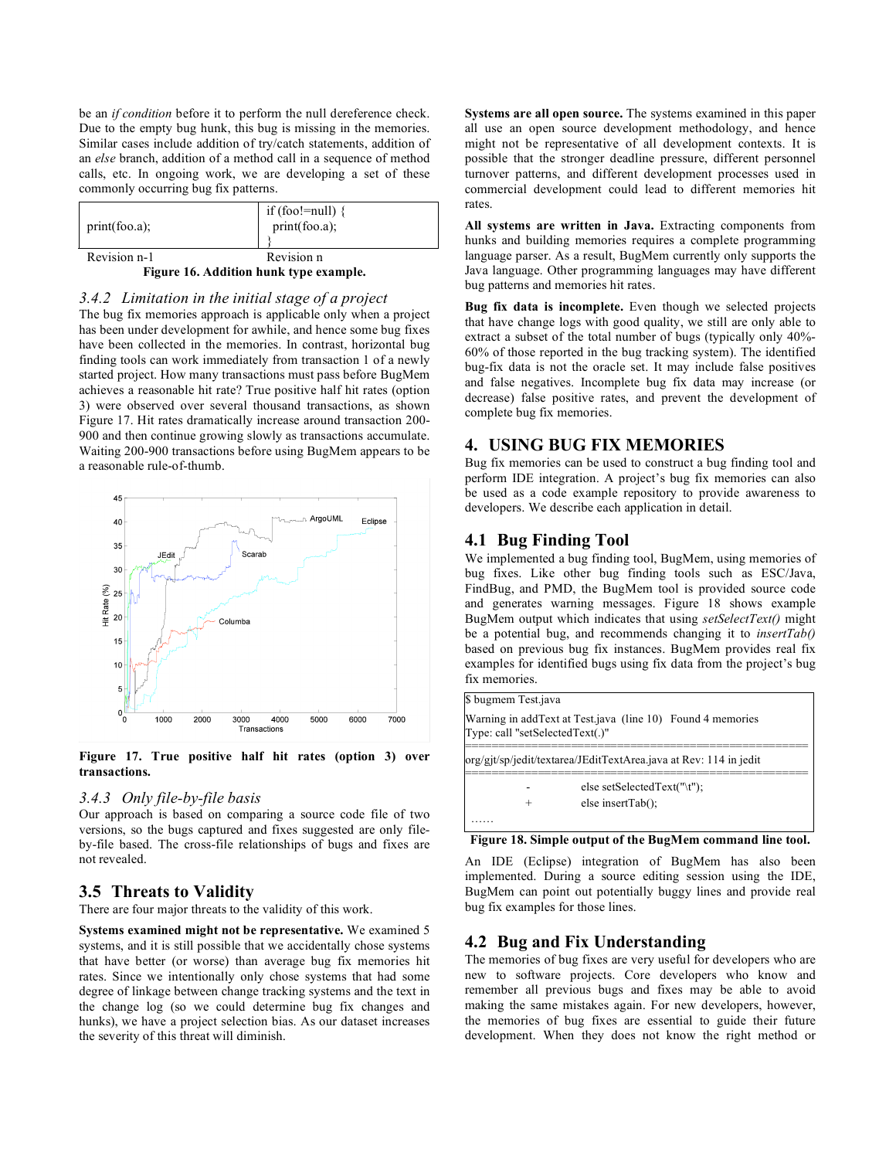be an *if condition* before it to perform the null dereference check. Due to the empty bug hunk, this bug is missing in the memories. Similar cases include addition of try/catch statements, addition of an *else* branch, addition of a method call in a sequence of method calls, etc. In ongoing work, we are developing a set of these commonly occurring bug fix patterns.

| print(foo.a); | if (foo!=null) {<br>print(foo.a); |
|---------------|-----------------------------------|
| Revision n-1  | Revision n                        |

**Figure 16. Addition hunk type example.**

### *3.4.2 Limitation in the initial stage of a project*

The bug fix memories approach is applicable only when a project has been under development for awhile, and hence some bug fixes have been collected in the memories. In contrast, horizontal bug finding tools can work immediately from transaction 1 of a newly started project. How many transactions must pass before BugMem achieves a reasonable hit rate? True positive half hit rates (option 3) were observed over several thousand transactions, as shown Figure 17. Hit rates dramatically increase around transaction 200- 900 and then continue growing slowly as transactions accumulate. Waiting 200-900 transactions before using BugMem appears to be a reasonable rule-of-thumb.



**Figure 17. True positive half hit rates (option 3) over transactions.**

### *3.4.3 Only file-by-file basis*

Our approach is based on comparing a source code file of two versions, so the bugs captured and fixes suggested are only fileby-file based. The cross-file relationships of bugs and fixes are not revealed.

# **3.5 Threats to Validity**

There are four major threats to the validity of this work.

**Systems examined might not be representative.** We examined 5 systems, and it is still possible that we accidentally chose systems that have better (or worse) than average bug fix memories hit rates. Since we intentionally only chose systems that had some degree of linkage between change tracking systems and the text in the change log (so we could determine bug fix changes and hunks), we have a project selection bias. As our dataset increases the severity of this threat will diminish.

**Systems are all open source.** The systems examined in this paper all use an open source development methodology, and hence might not be representative of all development contexts. It is possible that the stronger deadline pressure, different personnel turnover patterns, and different development processes used in commercial development could lead to different memories hit rates.

**All systems are written in Java.** Extracting components from hunks and building memories requires a complete programming language parser. As a result, BugMem currently only supports the Java language. Other programming languages may have different bug patterns and memories hit rates.

**Bug fix data is incomplete.** Even though we selected projects that have change logs with good quality, we still are only able to extract a subset of the total number of bugs (typically only 40%- 60% of those reported in the bug tracking system). The identified bug-fix data is not the oracle set. It may include false positives and false negatives. Incomplete bug fix data may increase (or decrease) false positive rates, and prevent the development of complete bug fix memories.

# **4. USING BUG FIX MEMORIES**

Bug fix memories can be used to construct a bug finding tool and perform IDE integration. A project's bug fix memories can also be used as a code example repository to provide awareness to developers. We describe each application in detail.

# **4.1 Bug Finding Tool**

We implemented a bug finding tool, BugMem, using memories of bug fixes. Like other bug finding tools such as ESC/Java, FindBug, and PMD, the BugMem tool is provided source code and generates warning messages. Figure 18 shows example BugMem output which indicates that using *setSelectText()* might be a potential bug, and recommends changing it to *insertTab()* based on previous bug fix instances. BugMem provides real fix examples for identified bugs using fix data from the project's bug fix memories.

| Type: call "setSelectedText(.)" | Warning in addText at Test java (line 10) Found 4 memories        |
|---------------------------------|-------------------------------------------------------------------|
|                                 | org/git/sp/jedit/textarea/JEditTextArea.java at Rev: 114 in jedit |
|                                 |                                                                   |
|                                 | else setSelectedText("\t");                                       |

#### **Figure 18. Simple output of the BugMem command line tool.**

An IDE (Eclipse) integration of BugMem has also been implemented. During a source editing session using the IDE, BugMem can point out potentially buggy lines and provide real bug fix examples for those lines.

# **4.2 Bug and Fix Understanding**

The memories of bug fixes are very useful for developers who are new to software projects. Core developers who know and remember all previous bugs and fixes may be able to avoid making the same mistakes again. For new developers, however, the memories of bug fixes are essential to guide their future development. When they does not know the right method or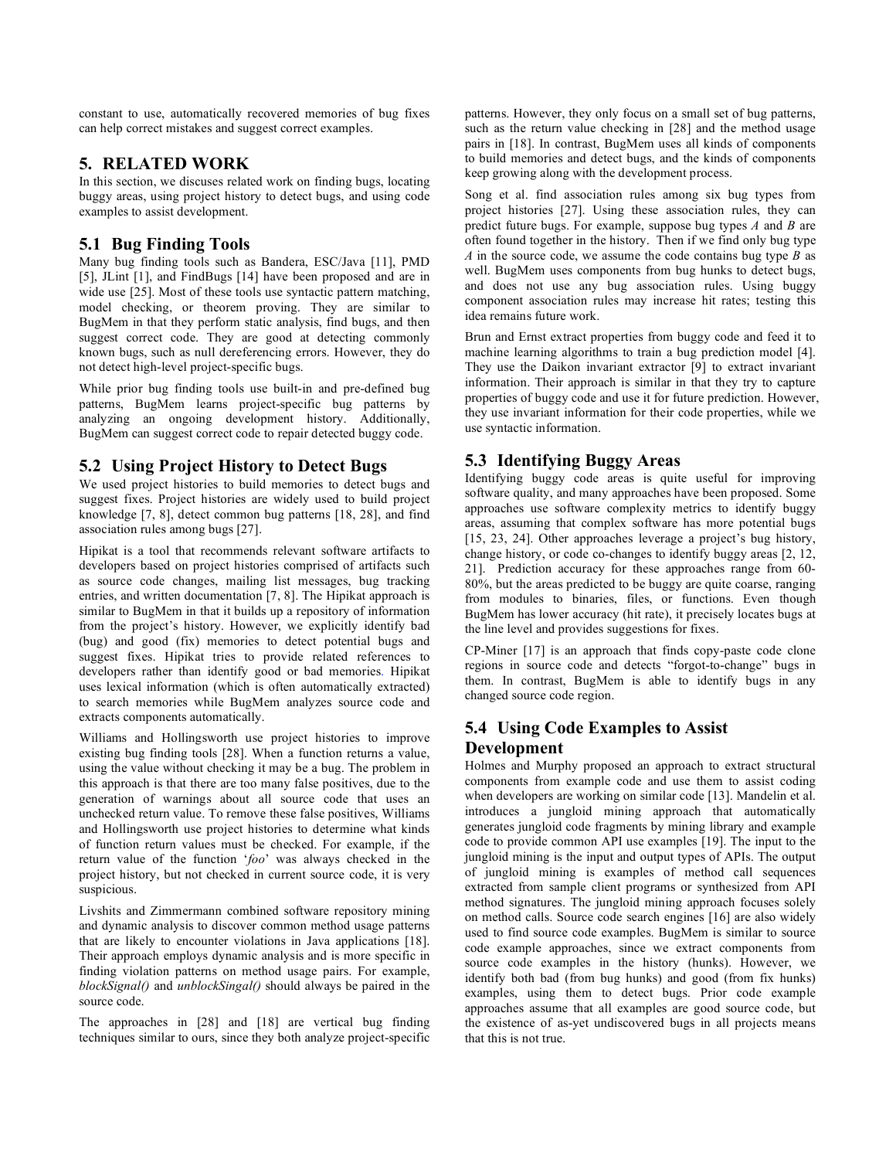constant to use, automatically recovered memories of bug fixes can help correct mistakes and suggest correct examples.

# **5. RELATED WORK**

In this section, we discuses related work on finding bugs, locating buggy areas, using project history to detect bugs, and using code examples to assist development.

# **5.1 Bug Finding Tools**

Many bug finding tools such as Bandera, ESC/Java [11], PMD [5], JLint [1], and FindBugs [14] have been proposed and are in wide use [25]. Most of these tools use syntactic pattern matching, model checking, or theorem proving. They are similar to BugMem in that they perform static analysis, find bugs, and then suggest correct code. They are good at detecting commonly known bugs, such as null dereferencing errors. However, they do not detect high-level project-specific bugs.

While prior bug finding tools use built-in and pre-defined bug patterns, BugMem learns project-specific bug patterns by analyzing an ongoing development history. Additionally, BugMem can suggest correct code to repair detected buggy code.

# **5.2 Using Project History to Detect Bugs**

We used project histories to build memories to detect bugs and suggest fixes. Project histories are widely used to build project knowledge [7, 8], detect common bug patterns [18, 28], and find association rules among bugs [27].

Hipikat is a tool that recommends relevant software artifacts to developers based on project histories comprised of artifacts such as source code changes, mailing list messages, bug tracking entries, and written documentation [7, 8]. The Hipikat approach is similar to BugMem in that it builds up a repository of information from the project's history. However, we explicitly identify bad (bug) and good (fix) memories to detect potential bugs and suggest fixes. Hipikat tries to provide related references to developers rather than identify good or bad memories. Hipikat uses lexical information (which is often automatically extracted) to search memories while BugMem analyzes source code and extracts components automatically.

Williams and Hollingsworth use project histories to improve existing bug finding tools [28]. When a function returns a value, using the value without checking it may be a bug. The problem in this approach is that there are too many false positives, due to the generation of warnings about all source code that uses an unchecked return value. To remove these false positives, Williams and Hollingsworth use project histories to determine what kinds of function return values must be checked. For example, if the return value of the function '*foo*' was always checked in the project history, but not checked in current source code, it is very suspicious.

Livshits and Zimmermann combined software repository mining and dynamic analysis to discover common method usage patterns that are likely to encounter violations in Java applications [18]. Their approach employs dynamic analysis and is more specific in finding violation patterns on method usage pairs. For example, *blockSignal()* and *unblockSingal()* should always be paired in the source code.

The approaches in [28] and [18] are vertical bug finding techniques similar to ours, since they both analyze project-specific

patterns. However, they only focus on a small set of bug patterns, such as the return value checking in [28] and the method usage pairs in [18]. In contrast, BugMem uses all kinds of components to build memories and detect bugs, and the kinds of components keep growing along with the development process.

Song et al. find association rules among six bug types from project histories [27]. Using these association rules, they can predict future bugs. For example, suppose bug types *A* and *B* are often found together in the history. Then if we find only bug type *A* in the source code, we assume the code contains bug type *B* as well. BugMem uses components from bug hunks to detect bugs, and does not use any bug association rules. Using buggy component association rules may increase hit rates; testing this idea remains future work.

Brun and Ernst extract properties from buggy code and feed it to machine learning algorithms to train a bug prediction model [4]. They use the Daikon invariant extractor [9] to extract invariant information. Their approach is similar in that they try to capture properties of buggy code and use it for future prediction. However, they use invariant information for their code properties, while we use syntactic information.

# **5.3 Identifying Buggy Areas**

Identifying buggy code areas is quite useful for improving software quality, and many approaches have been proposed. Some approaches use software complexity metrics to identify buggy areas, assuming that complex software has more potential bugs [15, 23, 24]. Other approaches leverage a project's bug history, change history, or code co-changes to identify buggy areas [2, 12, 21]. Prediction accuracy for these approaches range from 60- 80%, but the areas predicted to be buggy are quite coarse, ranging from modules to binaries, files, or functions. Even though BugMem has lower accuracy (hit rate), it precisely locates bugs at the line level and provides suggestions for fixes.

CP-Miner [17] is an approach that finds copy-paste code clone regions in source code and detects "forgot-to-change" bugs in them. In contrast, BugMem is able to identify bugs in any changed source code region.

# **5.4 Using Code Examples to Assist Development**

Holmes and Murphy proposed an approach to extract structural components from example code and use them to assist coding when developers are working on similar code [13]. Mandelin et al. introduces a jungloid mining approach that automatically generates jungloid code fragments by mining library and example code to provide common API use examples [19]. The input to the jungloid mining is the input and output types of APIs. The output of jungloid mining is examples of method call sequences extracted from sample client programs or synthesized from API method signatures. The jungloid mining approach focuses solely on method calls. Source code search engines [16] are also widely used to find source code examples. BugMem is similar to source code example approaches, since we extract components from source code examples in the history (hunks). However, we identify both bad (from bug hunks) and good (from fix hunks) examples, using them to detect bugs. Prior code example approaches assume that all examples are good source code, but the existence of as-yet undiscovered bugs in all projects means that this is not true.